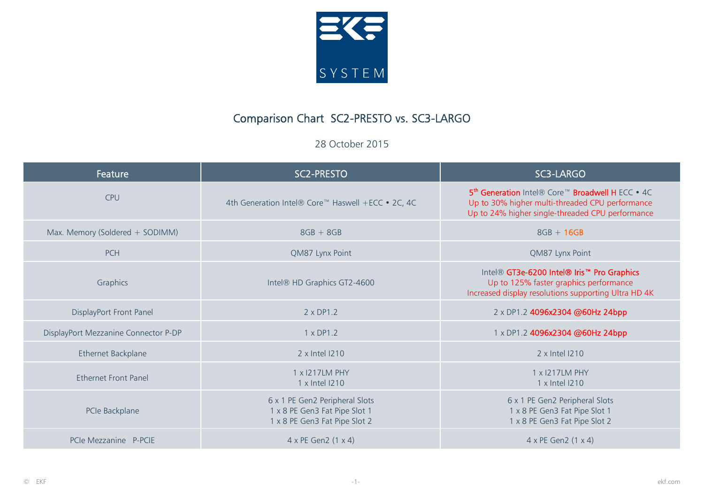

## Comparison Chart SC2-PRESTO vs. SC3-LARGO

28 October 2015

| Feature                              | SC2-PRESTO                                                                                       | SC3-LARGO                                                                                                                                                           |
|--------------------------------------|--------------------------------------------------------------------------------------------------|---------------------------------------------------------------------------------------------------------------------------------------------------------------------|
| <b>CPU</b>                           | 4th Generation Intel® Core™ Haswell +ECC • 2C, 4C                                                | 5 <sup>th</sup> Generation Intel® Core™ Broadwell H ECC • 4C<br>Up to 30% higher multi-threaded CPU performance<br>Up to 24% higher single-threaded CPU performance |
| Max. Memory (Soldered + SODIMM)      | $8GB + 8GB$                                                                                      | $8GB + 16GB$                                                                                                                                                        |
| <b>PCH</b>                           | QM87 Lynx Point                                                                                  | QM87 Lynx Point                                                                                                                                                     |
| Graphics                             | Intel® HD Graphics GT2-4600                                                                      | Intel® GT3e-6200 Intel® Iris <sup>™</sup> Pro Graphics<br>Up to 125% faster graphics performance<br>Increased display resolutions supporting Ultra HD 4K            |
| DisplayPort Front Panel              | $2 \times DP1.2$                                                                                 | 2 x DP1.2 4096x2304 @60Hz 24bpp                                                                                                                                     |
| DisplayPort Mezzanine Connector P-DP | 1 x DP1.2                                                                                        | 1 x DP1.2 4096x2304 @60Hz 24bpp                                                                                                                                     |
| Ethernet Backplane                   | 2 x Intel 1210                                                                                   | 2 x Intel 1210                                                                                                                                                      |
| <b>Fthernet Front Panel</b>          | 1 x 1217LM PHY<br>1 x Intel I210                                                                 | 1 x 1217LM PHY<br>1 x Intel I210                                                                                                                                    |
| PCIe Backplane                       | 6 x 1 PE Gen2 Peripheral Slots<br>1 x 8 PE Gen3 Fat Pipe Slot 1<br>1 x 8 PE Gen3 Fat Pipe Slot 2 | 6 x 1 PE Gen2 Peripheral Slots<br>1 x 8 PE Gen3 Fat Pipe Slot 1<br>1 x 8 PE Gen3 Fat Pipe Slot 2                                                                    |
| PCIe Mezzanine P-PCIE                | 4 x PE Gen2 (1 x 4)                                                                              | $4 \times$ PE Gen2 $(1 \times 4)$                                                                                                                                   |